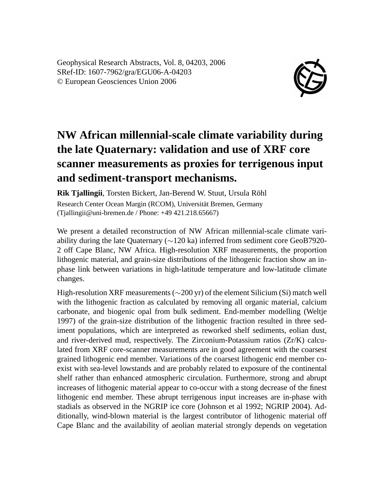Geophysical Research Abstracts, Vol. 8, 04203, 2006 SRef-ID: 1607-7962/gra/EGU06-A-04203 © European Geosciences Union 2006



## **NW African millennial-scale climate variability during the late Quaternary: validation and use of XRF core scanner measurements as proxies for terrigenous input and sediment-transport mechanisms.**

**Rik Tjallingii**, Torsten Bickert, Jan-Berend W. Stuut, Ursula Röhl Research Center Ocean Margin (RCOM), Universität Bremen, Germany (Tjallingii@uni-bremen.de / Phone: +49 421.218.65667)

We present a detailed reconstruction of NW African millennial-scale climate variability during the late Quaternary (∼120 ka) inferred from sediment core GeoB7920- 2 off Cape Blanc, NW Africa. High-resolution XRF measurements, the proportion lithogenic material, and grain-size distributions of the lithogenic fraction show an inphase link between variations in high-latitude temperature and low-latitude climate changes.

High-resolution XRF measurements (∼200 yr) of the element Silicium (Si) match well with the lithogenic fraction as calculated by removing all organic material, calcium carbonate, and biogenic opal from bulk sediment. End-member modelling (Weltje 1997) of the grain-size distribution of the lithogenic fraction resulted in three sediment populations, which are interpreted as reworked shelf sediments, eolian dust, and river-derived mud, respectively. The Zirconium-Potassium ratios (Zr/K) calculated from XRF core-scanner measurements are in good agreement with the coarsest grained lithogenic end member. Variations of the coarsest lithogenic end member coexist with sea-level lowstands and are probably related to exposure of the continental shelf rather than enhanced atmospheric circulation. Furthermore, strong and abrupt increases of lithogenic material appear to co-occur with a stong decrease of the finest lithogenic end member. These abrupt terrigenous input increases are in-phase with stadials as observed in the NGRIP ice core (Johnson et al 1992; NGRIP 2004). Additionally, wind-blown material is the largest contributor of lithogenic material off Cape Blanc and the availability of aeolian material strongly depends on vegetation